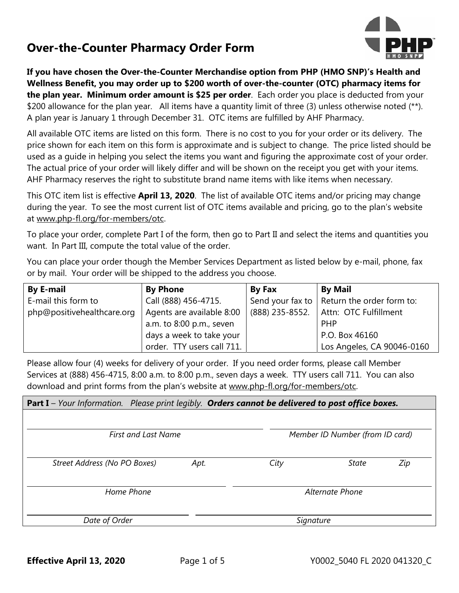## **Over-the-Counter Pharmacy Order Form**



**If you have chosen the Over-the-Counter Merchandise option from PHP (HMO SNP)'s Health and Wellness Benefit, you may order up to \$200 worth of over-the-counter (OTC) pharmacy items for the plan year. Minimum order amount is \$25 per order**. Each order you place is deducted from your \$200 allowance for the plan year. All items have a quantity limit of three (3) unless otherwise noted (\*\*). A plan year is January 1 through December 31. OTC items are fulfilled by AHF Pharmacy.

All available OTC items are listed on this form. There is no cost to you for your order or its delivery. The price shown for each item on this form is approximate and is subject to change. The price listed should be used as a guide in helping you select the items you want and figuring the approximate cost of your order. The actual price of your order will likely differ and will be shown on the receipt you get with your items. AHF Pharmacy reserves the right to substitute brand name items with like items when necessary.

This OTC item list is effective **April 13, 2020**. The list of available OTC items and/or pricing may change during the year. To see the most current list of OTC items available and pricing, go to the plan's website at www.php-fl.org/for-members/otc.

To place your order, complete Part I of the form, then go to Part II and select the items and quantities you want. In Part III, compute the total value of the order.

You can place your order though the Member Services Department as listed below by e-mail, phone, fax or by mail. Your order will be shipped to the address you choose.

| <b>By E-mail</b>           | <b>By Phone</b>            | <b>By Fax</b>   | <b>By Mail</b>                                 |
|----------------------------|----------------------------|-----------------|------------------------------------------------|
| E-mail this form to        | Call (888) 456-4715.       |                 | Send your fax to $ $ Return the order form to: |
| php@positivehealthcare.org | Agents are available 8:00  | (888) 235-8552. | Attn: OTC Fulfillment                          |
|                            | a.m. to 8:00 p.m., seven   |                 | <b>PHP</b>                                     |
|                            | days a week to take your   |                 | P.O. Box 46160                                 |
|                            | order. TTY users call 711. |                 | Los Angeles, CA 90046-0160                     |

Please allow four (4) weeks for delivery of your order. If you need order forms, please call Member Services at (888) 456-4715, 8:00 a.m. to 8:00 p.m., seven days a week. TTY users call 711. You can also download and print forms from the plan's website at www.php-fl.org/for-members/otc.

| <b>Part I</b> - Your Information. Please print legibly. Orders cannot be delivered to post office boxes. |                            |                 |              |                                 |  |
|----------------------------------------------------------------------------------------------------------|----------------------------|-----------------|--------------|---------------------------------|--|
|                                                                                                          |                            |                 |              |                                 |  |
|                                                                                                          | <b>First and Last Name</b> |                 |              | Member ID Number (from ID card) |  |
| Street Address (No PO Boxes)                                                                             | Apt.                       | City            | <b>State</b> | Zip                             |  |
| Home Phone                                                                                               |                            | Alternate Phone |              |                                 |  |
| Date of Order                                                                                            |                            | Signature       |              |                                 |  |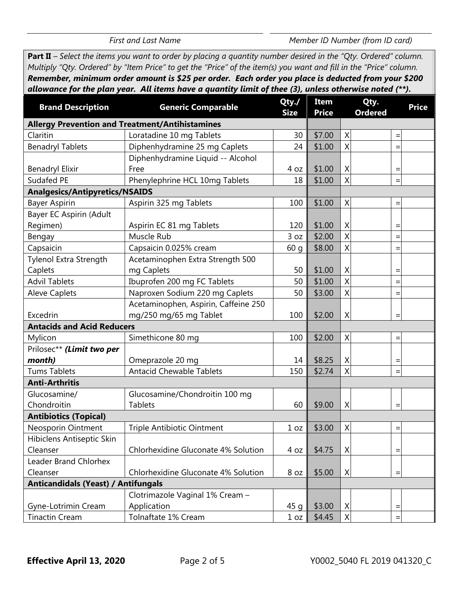$\overline{a}$ 

*First and Last Name Member ID Number (from ID card)* 

**Part II** *– Select the items you want to order by placing a quantity number desired in the "Qty. Ordered" column. Multiply "Qty. Ordered" by "Item Price" to get the "Price" of the item(s) you want and fill in the "Price" column. Remember, minimum order amount is \$25 per order. Each order you place is deducted from your \$200 allowance for the plan year. All items have a quantity limit of thee (3), unless otherwise noted (\*\*).* 

| <b>Brand Description</b>                   | <b>Generic Comparable</b>                              | Qty./<br><b>Size</b> | Item<br><b>Price</b> | Qty.<br><b>Ordered</b> | <b>Price</b>      |
|--------------------------------------------|--------------------------------------------------------|----------------------|----------------------|------------------------|-------------------|
|                                            | <b>Allergy Prevention and Treatment/Antihistamines</b> |                      |                      |                        |                   |
| Claritin                                   | Loratadine 10 mg Tablets                               | 30                   | \$7.00               | X                      | $\qquad \qquad =$ |
| <b>Benadryl Tablets</b>                    | Diphenhydramine 25 mg Caplets                          | 24                   | \$1.00               | Χ                      | $=$               |
|                                            | Diphenhydramine Liquid -- Alcohol                      |                      |                      |                        |                   |
| <b>Benadryl Elixir</b>                     | Free                                                   | 4 oz                 | \$1.00               | Χ                      | $\equiv$          |
| Sudafed PE                                 | Phenylephrine HCL 10mg Tablets                         | 18                   | \$1.00               | Χ                      | $=$               |
| <b>Analgesics/Antipyretics/NSAIDS</b>      |                                                        |                      |                      |                        |                   |
| <b>Bayer Aspirin</b>                       | Aspirin 325 mg Tablets                                 | 100                  | \$1.00               | X                      | $\equiv$          |
| Bayer EC Aspirin (Adult                    |                                                        |                      |                      |                        |                   |
| Regimen)                                   | Aspirin EC 81 mg Tablets                               | 120                  | \$1.00               | Χ                      | $\equiv$          |
| Bengay                                     | Muscle Rub                                             | 3 oz                 | \$2.00               | X                      | $=$               |
| Capsaicin                                  | Capsaicin 0.025% cream                                 | 60q                  | \$8.00               | X                      | $=$               |
| Tylenol Extra Strength                     | Acetaminophen Extra Strength 500                       |                      |                      |                        |                   |
| Caplets                                    | mg Caplets                                             | 50                   | \$1.00               | Χ                      | $=$               |
| <b>Advil Tablets</b>                       | Ibuprofen 200 mg FC Tablets                            | 50                   | \$1.00               | Χ                      | $=$               |
| <b>Aleve Caplets</b>                       | Naproxen Sodium 220 mg Caplets                         | 50                   | \$3.00               | X                      | $=$               |
|                                            | Acetaminophen, Aspirin, Caffeine 250                   |                      |                      |                        |                   |
| Excedrin                                   | mg/250 mg/65 mg Tablet                                 | 100                  | \$2.00               | X                      | $=$               |
| <b>Antacids and Acid Reducers</b>          |                                                        |                      |                      |                        |                   |
| Mylicon                                    | Simethicone 80 mg                                      | 100                  | \$2.00               | X                      | $\equiv$          |
| Prilosec** (Limit two per                  |                                                        |                      |                      |                        |                   |
| month)                                     | Omeprazole 20 mg                                       | 14                   | \$8.25               | Χ                      | $=$               |
| <b>Tums Tablets</b>                        | <b>Antacid Chewable Tablets</b>                        | 150                  | \$2.74               | X                      | $=$               |
| <b>Anti-Arthritis</b>                      |                                                        |                      |                      |                        |                   |
| Glucosamine/                               | Glucosamine/Chondroitin 100 mg                         |                      |                      |                        |                   |
| Chondroitin                                | <b>Tablets</b>                                         | 60                   | \$9.00               | X                      | $=$               |
| <b>Antibiotics (Topical)</b>               |                                                        |                      |                      |                        |                   |
| <b>Neosporin Ointment</b>                  | <b>Triple Antibiotic Ointment</b>                      | $1 oz \parallel$     | \$3.00               | $\times$               | $\equiv$          |
| Hibiclens Antiseptic Skin                  |                                                        |                      |                      |                        |                   |
| Cleanser                                   | Chlorhexidine Gluconate 4% Solution                    | 4 oz                 | \$4.75               | X                      | $=$               |
| Leader Brand Chlorhex                      |                                                        |                      |                      |                        |                   |
| Cleanser                                   | Chlorhexidine Gluconate 4% Solution                    | 8 oz                 | \$5.00               | Χ                      | $\equiv$          |
| <b>Anticandidals (Yeast) / Antifungals</b> |                                                        |                      |                      |                        |                   |
|                                            | Clotrimazole Vaginal 1% Cream -                        |                      |                      |                        |                   |
| Gyne-Lotrimin Cream                        | Application                                            | 45q                  | \$3.00               | X                      | $=$               |
| <b>Tinactin Cream</b>                      | Tolnaftate 1% Cream                                    | 1 oz                 | \$4.45               | Χ                      | $\equiv$          |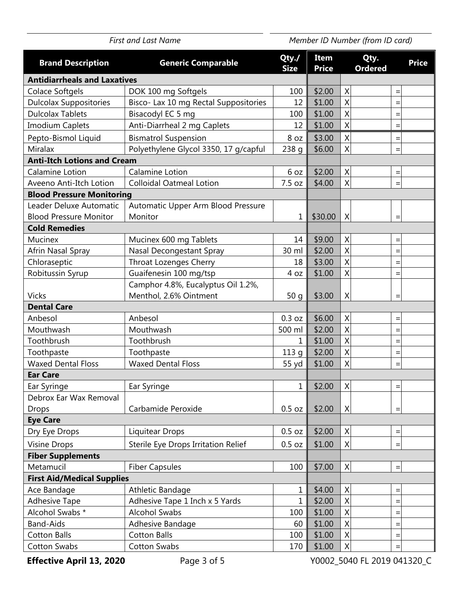| Item<br>Qty.<br>Qty./<br><b>Brand Description</b><br><b>Generic Comparable</b><br><b>Price</b><br><b>Ordered</b><br><b>Size</b><br><b>Price</b><br><b>Antidiarrheals and Laxatives</b><br>X<br>\$2.00<br>Colace Softgels<br>DOK 100 mg Softgels<br>100<br>$=$<br>X<br>Bisco- Lax 10 mg Rectal Suppositories<br>\$1.00<br><b>Dulcolax Suppositories</b><br>12<br>$=$<br><b>Dulcolax Tablets</b><br>X<br>Bisacodyl EC 5 mg<br>100<br>\$1.00<br>$=$<br>$\sf X$<br>Anti-Diarrheal 2 mg Caplets<br>\$1.00<br><b>Imodium Caplets</b><br>12<br>$=$<br>$\mathsf{X}$<br><b>Bismatrol Suspension</b><br>\$3.00<br>Pepto-Bismol Liquid<br>8 oz<br>$=$<br>X<br>Miralax<br>Polyethylene Glycol 3350, 17 g/capful<br>\$6.00<br>238q<br>$=$<br><b>Anti-Itch Lotions and Cream</b><br>X<br>Calamine Lotion<br>\$2.00<br>Calamine Lotion<br>6 oz<br>$=$<br>$\sf X$<br>7.5 oz<br>\$4.00<br><b>Colloidal Oatmeal Lotion</b><br>Aveeno Anti-Itch Lotion<br><b>Blood Pressure Monitoring</b><br>Automatic Upper Arm Blood Pressure<br>Leader Deluxe Automatic<br>Monitor<br><b>Blood Pressure Monitor</b><br>1<br>\$30.00<br>X<br><b>Cold Remedies</b><br>X<br>Mucinex 600 mg Tablets<br>\$9.00<br><b>Mucinex</b><br>14<br>$=$<br>$\boldsymbol{\mathsf{X}}$<br>\$2.00<br>30 ml<br>Afrin Nasal Spray<br>Nasal Decongestant Spray<br>X<br>Chloraseptic<br>Throat Lozenges Cherry<br>\$3.00<br>18<br>$=$<br>X<br>Guaifenesin 100 mg/tsp<br>\$1.00<br>Robitussin Syrup<br>4 oz<br>Camphor 4.8%, Eucalyptus Oil 1.2%,<br>Menthol, 2.6% Ointment<br>\$3.00<br><b>Vicks</b><br>50q<br>X<br><b>Dental Care</b><br>\$6.00<br>X<br>0.3 oz<br>Anbesol<br>Anbesol<br>$=$<br>X<br>Mouthwash<br>Mouthwash<br>500 ml<br>\$2.00<br>$=$<br>$\boldsymbol{\mathsf{X}}$<br>\$1.00<br>Toothbrush<br>Toothbrush<br>1<br>$=$<br>X<br>\$2.00<br>Toothpaste<br>Toothpaste<br>113q<br>$=$<br>X<br><b>Waxed Dental Floss</b><br><b>Waxed Dental Floss</b><br>\$1.00<br>55 yd<br>$=$<br><b>Ear Care</b><br>$\mathbf 1$<br>$\sf X$<br>\$2.00<br>Ear Syringe<br>Ear Syringe<br>$=$<br>Debrox Ear Wax Removal<br>Carbamide Peroxide<br>0.5 oz<br>\$2.00<br>X<br><b>Drops</b><br>$=$<br><b>Eye Care</b><br>$\sf X$<br>\$2.00<br><b>Liquitear Drops</b><br>0.5 oz<br>Dry Eye Drops<br>$=$<br>Sterile Eye Drops Irritation Relief<br>\$1.00<br>X<br><b>Visine Drops</b><br>0.5 oz<br>$=$<br><b>Fiber Supplements</b><br>$\sf X$<br>Metamucil<br><b>Fiber Capsules</b><br>100<br>\$7.00<br>$\quad \  \  =$<br><b>First Aid/Medical Supplies</b><br>$\sf X$<br>Athletic Bandage<br>\$4.00<br>Ace Bandage<br>$\mathbf 1$<br>$\quad =$<br>$\mathbf{1}$<br><b>Adhesive Tape</b><br>Adhesive Tape 1 Inch x 5 Yards<br>\$2.00<br>$\sf X$<br>$=$<br>X<br>Alcohol Swabs *<br><b>Alcohol Swabs</b><br>100<br>\$1.00<br>$=$<br><b>Band-Aids</b><br>Adhesive Bandage<br>\$1.00<br>X<br>60<br>$=$<br><b>Cotton Balls</b><br><b>Cotton Balls</b><br>100<br>\$1.00<br>X<br>$=$<br><b>Cotton Swabs</b><br><b>Cotton Swabs</b><br>170<br>\$1.00<br>X<br>$=$ | <b>First and Last Name</b> |  | Member ID Number (from ID card) |  |  |  |
|-------------------------------------------------------------------------------------------------------------------------------------------------------------------------------------------------------------------------------------------------------------------------------------------------------------------------------------------------------------------------------------------------------------------------------------------------------------------------------------------------------------------------------------------------------------------------------------------------------------------------------------------------------------------------------------------------------------------------------------------------------------------------------------------------------------------------------------------------------------------------------------------------------------------------------------------------------------------------------------------------------------------------------------------------------------------------------------------------------------------------------------------------------------------------------------------------------------------------------------------------------------------------------------------------------------------------------------------------------------------------------------------------------------------------------------------------------------------------------------------------------------------------------------------------------------------------------------------------------------------------------------------------------------------------------------------------------------------------------------------------------------------------------------------------------------------------------------------------------------------------------------------------------------------------------------------------------------------------------------------------------------------------------------------------------------------------------------------------------------------------------------------------------------------------------------------------------------------------------------------------------------------------------------------------------------------------------------------------------------------------------------------------------------------------------------------------------------------------------------------------------------------------------------------------------------------------------------------------------------------------------------------------------------------------------------------------------------------------------------------------------------------------------------------------------------------------------------------------------------------------------------------------------------------------------------------------------------------------------------|----------------------------|--|---------------------------------|--|--|--|
|                                                                                                                                                                                                                                                                                                                                                                                                                                                                                                                                                                                                                                                                                                                                                                                                                                                                                                                                                                                                                                                                                                                                                                                                                                                                                                                                                                                                                                                                                                                                                                                                                                                                                                                                                                                                                                                                                                                                                                                                                                                                                                                                                                                                                                                                                                                                                                                                                                                                                                                                                                                                                                                                                                                                                                                                                                                                                                                                                                                     |                            |  |                                 |  |  |  |
|                                                                                                                                                                                                                                                                                                                                                                                                                                                                                                                                                                                                                                                                                                                                                                                                                                                                                                                                                                                                                                                                                                                                                                                                                                                                                                                                                                                                                                                                                                                                                                                                                                                                                                                                                                                                                                                                                                                                                                                                                                                                                                                                                                                                                                                                                                                                                                                                                                                                                                                                                                                                                                                                                                                                                                                                                                                                                                                                                                                     |                            |  |                                 |  |  |  |
|                                                                                                                                                                                                                                                                                                                                                                                                                                                                                                                                                                                                                                                                                                                                                                                                                                                                                                                                                                                                                                                                                                                                                                                                                                                                                                                                                                                                                                                                                                                                                                                                                                                                                                                                                                                                                                                                                                                                                                                                                                                                                                                                                                                                                                                                                                                                                                                                                                                                                                                                                                                                                                                                                                                                                                                                                                                                                                                                                                                     |                            |  |                                 |  |  |  |
|                                                                                                                                                                                                                                                                                                                                                                                                                                                                                                                                                                                                                                                                                                                                                                                                                                                                                                                                                                                                                                                                                                                                                                                                                                                                                                                                                                                                                                                                                                                                                                                                                                                                                                                                                                                                                                                                                                                                                                                                                                                                                                                                                                                                                                                                                                                                                                                                                                                                                                                                                                                                                                                                                                                                                                                                                                                                                                                                                                                     |                            |  |                                 |  |  |  |
|                                                                                                                                                                                                                                                                                                                                                                                                                                                                                                                                                                                                                                                                                                                                                                                                                                                                                                                                                                                                                                                                                                                                                                                                                                                                                                                                                                                                                                                                                                                                                                                                                                                                                                                                                                                                                                                                                                                                                                                                                                                                                                                                                                                                                                                                                                                                                                                                                                                                                                                                                                                                                                                                                                                                                                                                                                                                                                                                                                                     |                            |  |                                 |  |  |  |
|                                                                                                                                                                                                                                                                                                                                                                                                                                                                                                                                                                                                                                                                                                                                                                                                                                                                                                                                                                                                                                                                                                                                                                                                                                                                                                                                                                                                                                                                                                                                                                                                                                                                                                                                                                                                                                                                                                                                                                                                                                                                                                                                                                                                                                                                                                                                                                                                                                                                                                                                                                                                                                                                                                                                                                                                                                                                                                                                                                                     |                            |  |                                 |  |  |  |
|                                                                                                                                                                                                                                                                                                                                                                                                                                                                                                                                                                                                                                                                                                                                                                                                                                                                                                                                                                                                                                                                                                                                                                                                                                                                                                                                                                                                                                                                                                                                                                                                                                                                                                                                                                                                                                                                                                                                                                                                                                                                                                                                                                                                                                                                                                                                                                                                                                                                                                                                                                                                                                                                                                                                                                                                                                                                                                                                                                                     |                            |  |                                 |  |  |  |
|                                                                                                                                                                                                                                                                                                                                                                                                                                                                                                                                                                                                                                                                                                                                                                                                                                                                                                                                                                                                                                                                                                                                                                                                                                                                                                                                                                                                                                                                                                                                                                                                                                                                                                                                                                                                                                                                                                                                                                                                                                                                                                                                                                                                                                                                                                                                                                                                                                                                                                                                                                                                                                                                                                                                                                                                                                                                                                                                                                                     |                            |  |                                 |  |  |  |
|                                                                                                                                                                                                                                                                                                                                                                                                                                                                                                                                                                                                                                                                                                                                                                                                                                                                                                                                                                                                                                                                                                                                                                                                                                                                                                                                                                                                                                                                                                                                                                                                                                                                                                                                                                                                                                                                                                                                                                                                                                                                                                                                                                                                                                                                                                                                                                                                                                                                                                                                                                                                                                                                                                                                                                                                                                                                                                                                                                                     |                            |  |                                 |  |  |  |
|                                                                                                                                                                                                                                                                                                                                                                                                                                                                                                                                                                                                                                                                                                                                                                                                                                                                                                                                                                                                                                                                                                                                                                                                                                                                                                                                                                                                                                                                                                                                                                                                                                                                                                                                                                                                                                                                                                                                                                                                                                                                                                                                                                                                                                                                                                                                                                                                                                                                                                                                                                                                                                                                                                                                                                                                                                                                                                                                                                                     |                            |  |                                 |  |  |  |
|                                                                                                                                                                                                                                                                                                                                                                                                                                                                                                                                                                                                                                                                                                                                                                                                                                                                                                                                                                                                                                                                                                                                                                                                                                                                                                                                                                                                                                                                                                                                                                                                                                                                                                                                                                                                                                                                                                                                                                                                                                                                                                                                                                                                                                                                                                                                                                                                                                                                                                                                                                                                                                                                                                                                                                                                                                                                                                                                                                                     |                            |  |                                 |  |  |  |
|                                                                                                                                                                                                                                                                                                                                                                                                                                                                                                                                                                                                                                                                                                                                                                                                                                                                                                                                                                                                                                                                                                                                                                                                                                                                                                                                                                                                                                                                                                                                                                                                                                                                                                                                                                                                                                                                                                                                                                                                                                                                                                                                                                                                                                                                                                                                                                                                                                                                                                                                                                                                                                                                                                                                                                                                                                                                                                                                                                                     |                            |  |                                 |  |  |  |
|                                                                                                                                                                                                                                                                                                                                                                                                                                                                                                                                                                                                                                                                                                                                                                                                                                                                                                                                                                                                                                                                                                                                                                                                                                                                                                                                                                                                                                                                                                                                                                                                                                                                                                                                                                                                                                                                                                                                                                                                                                                                                                                                                                                                                                                                                                                                                                                                                                                                                                                                                                                                                                                                                                                                                                                                                                                                                                                                                                                     |                            |  |                                 |  |  |  |
|                                                                                                                                                                                                                                                                                                                                                                                                                                                                                                                                                                                                                                                                                                                                                                                                                                                                                                                                                                                                                                                                                                                                                                                                                                                                                                                                                                                                                                                                                                                                                                                                                                                                                                                                                                                                                                                                                                                                                                                                                                                                                                                                                                                                                                                                                                                                                                                                                                                                                                                                                                                                                                                                                                                                                                                                                                                                                                                                                                                     |                            |  |                                 |  |  |  |
|                                                                                                                                                                                                                                                                                                                                                                                                                                                                                                                                                                                                                                                                                                                                                                                                                                                                                                                                                                                                                                                                                                                                                                                                                                                                                                                                                                                                                                                                                                                                                                                                                                                                                                                                                                                                                                                                                                                                                                                                                                                                                                                                                                                                                                                                                                                                                                                                                                                                                                                                                                                                                                                                                                                                                                                                                                                                                                                                                                                     |                            |  |                                 |  |  |  |
|                                                                                                                                                                                                                                                                                                                                                                                                                                                                                                                                                                                                                                                                                                                                                                                                                                                                                                                                                                                                                                                                                                                                                                                                                                                                                                                                                                                                                                                                                                                                                                                                                                                                                                                                                                                                                                                                                                                                                                                                                                                                                                                                                                                                                                                                                                                                                                                                                                                                                                                                                                                                                                                                                                                                                                                                                                                                                                                                                                                     |                            |  |                                 |  |  |  |
|                                                                                                                                                                                                                                                                                                                                                                                                                                                                                                                                                                                                                                                                                                                                                                                                                                                                                                                                                                                                                                                                                                                                                                                                                                                                                                                                                                                                                                                                                                                                                                                                                                                                                                                                                                                                                                                                                                                                                                                                                                                                                                                                                                                                                                                                                                                                                                                                                                                                                                                                                                                                                                                                                                                                                                                                                                                                                                                                                                                     |                            |  |                                 |  |  |  |
|                                                                                                                                                                                                                                                                                                                                                                                                                                                                                                                                                                                                                                                                                                                                                                                                                                                                                                                                                                                                                                                                                                                                                                                                                                                                                                                                                                                                                                                                                                                                                                                                                                                                                                                                                                                                                                                                                                                                                                                                                                                                                                                                                                                                                                                                                                                                                                                                                                                                                                                                                                                                                                                                                                                                                                                                                                                                                                                                                                                     |                            |  |                                 |  |  |  |
|                                                                                                                                                                                                                                                                                                                                                                                                                                                                                                                                                                                                                                                                                                                                                                                                                                                                                                                                                                                                                                                                                                                                                                                                                                                                                                                                                                                                                                                                                                                                                                                                                                                                                                                                                                                                                                                                                                                                                                                                                                                                                                                                                                                                                                                                                                                                                                                                                                                                                                                                                                                                                                                                                                                                                                                                                                                                                                                                                                                     |                            |  |                                 |  |  |  |
|                                                                                                                                                                                                                                                                                                                                                                                                                                                                                                                                                                                                                                                                                                                                                                                                                                                                                                                                                                                                                                                                                                                                                                                                                                                                                                                                                                                                                                                                                                                                                                                                                                                                                                                                                                                                                                                                                                                                                                                                                                                                                                                                                                                                                                                                                                                                                                                                                                                                                                                                                                                                                                                                                                                                                                                                                                                                                                                                                                                     |                            |  |                                 |  |  |  |
|                                                                                                                                                                                                                                                                                                                                                                                                                                                                                                                                                                                                                                                                                                                                                                                                                                                                                                                                                                                                                                                                                                                                                                                                                                                                                                                                                                                                                                                                                                                                                                                                                                                                                                                                                                                                                                                                                                                                                                                                                                                                                                                                                                                                                                                                                                                                                                                                                                                                                                                                                                                                                                                                                                                                                                                                                                                                                                                                                                                     |                            |  |                                 |  |  |  |
|                                                                                                                                                                                                                                                                                                                                                                                                                                                                                                                                                                                                                                                                                                                                                                                                                                                                                                                                                                                                                                                                                                                                                                                                                                                                                                                                                                                                                                                                                                                                                                                                                                                                                                                                                                                                                                                                                                                                                                                                                                                                                                                                                                                                                                                                                                                                                                                                                                                                                                                                                                                                                                                                                                                                                                                                                                                                                                                                                                                     |                            |  |                                 |  |  |  |
|                                                                                                                                                                                                                                                                                                                                                                                                                                                                                                                                                                                                                                                                                                                                                                                                                                                                                                                                                                                                                                                                                                                                                                                                                                                                                                                                                                                                                                                                                                                                                                                                                                                                                                                                                                                                                                                                                                                                                                                                                                                                                                                                                                                                                                                                                                                                                                                                                                                                                                                                                                                                                                                                                                                                                                                                                                                                                                                                                                                     |                            |  |                                 |  |  |  |
|                                                                                                                                                                                                                                                                                                                                                                                                                                                                                                                                                                                                                                                                                                                                                                                                                                                                                                                                                                                                                                                                                                                                                                                                                                                                                                                                                                                                                                                                                                                                                                                                                                                                                                                                                                                                                                                                                                                                                                                                                                                                                                                                                                                                                                                                                                                                                                                                                                                                                                                                                                                                                                                                                                                                                                                                                                                                                                                                                                                     |                            |  |                                 |  |  |  |
|                                                                                                                                                                                                                                                                                                                                                                                                                                                                                                                                                                                                                                                                                                                                                                                                                                                                                                                                                                                                                                                                                                                                                                                                                                                                                                                                                                                                                                                                                                                                                                                                                                                                                                                                                                                                                                                                                                                                                                                                                                                                                                                                                                                                                                                                                                                                                                                                                                                                                                                                                                                                                                                                                                                                                                                                                                                                                                                                                                                     |                            |  |                                 |  |  |  |
|                                                                                                                                                                                                                                                                                                                                                                                                                                                                                                                                                                                                                                                                                                                                                                                                                                                                                                                                                                                                                                                                                                                                                                                                                                                                                                                                                                                                                                                                                                                                                                                                                                                                                                                                                                                                                                                                                                                                                                                                                                                                                                                                                                                                                                                                                                                                                                                                                                                                                                                                                                                                                                                                                                                                                                                                                                                                                                                                                                                     |                            |  |                                 |  |  |  |
|                                                                                                                                                                                                                                                                                                                                                                                                                                                                                                                                                                                                                                                                                                                                                                                                                                                                                                                                                                                                                                                                                                                                                                                                                                                                                                                                                                                                                                                                                                                                                                                                                                                                                                                                                                                                                                                                                                                                                                                                                                                                                                                                                                                                                                                                                                                                                                                                                                                                                                                                                                                                                                                                                                                                                                                                                                                                                                                                                                                     |                            |  |                                 |  |  |  |
|                                                                                                                                                                                                                                                                                                                                                                                                                                                                                                                                                                                                                                                                                                                                                                                                                                                                                                                                                                                                                                                                                                                                                                                                                                                                                                                                                                                                                                                                                                                                                                                                                                                                                                                                                                                                                                                                                                                                                                                                                                                                                                                                                                                                                                                                                                                                                                                                                                                                                                                                                                                                                                                                                                                                                                                                                                                                                                                                                                                     |                            |  |                                 |  |  |  |
|                                                                                                                                                                                                                                                                                                                                                                                                                                                                                                                                                                                                                                                                                                                                                                                                                                                                                                                                                                                                                                                                                                                                                                                                                                                                                                                                                                                                                                                                                                                                                                                                                                                                                                                                                                                                                                                                                                                                                                                                                                                                                                                                                                                                                                                                                                                                                                                                                                                                                                                                                                                                                                                                                                                                                                                                                                                                                                                                                                                     |                            |  |                                 |  |  |  |
|                                                                                                                                                                                                                                                                                                                                                                                                                                                                                                                                                                                                                                                                                                                                                                                                                                                                                                                                                                                                                                                                                                                                                                                                                                                                                                                                                                                                                                                                                                                                                                                                                                                                                                                                                                                                                                                                                                                                                                                                                                                                                                                                                                                                                                                                                                                                                                                                                                                                                                                                                                                                                                                                                                                                                                                                                                                                                                                                                                                     |                            |  |                                 |  |  |  |
|                                                                                                                                                                                                                                                                                                                                                                                                                                                                                                                                                                                                                                                                                                                                                                                                                                                                                                                                                                                                                                                                                                                                                                                                                                                                                                                                                                                                                                                                                                                                                                                                                                                                                                                                                                                                                                                                                                                                                                                                                                                                                                                                                                                                                                                                                                                                                                                                                                                                                                                                                                                                                                                                                                                                                                                                                                                                                                                                                                                     |                            |  |                                 |  |  |  |
|                                                                                                                                                                                                                                                                                                                                                                                                                                                                                                                                                                                                                                                                                                                                                                                                                                                                                                                                                                                                                                                                                                                                                                                                                                                                                                                                                                                                                                                                                                                                                                                                                                                                                                                                                                                                                                                                                                                                                                                                                                                                                                                                                                                                                                                                                                                                                                                                                                                                                                                                                                                                                                                                                                                                                                                                                                                                                                                                                                                     |                            |  |                                 |  |  |  |
|                                                                                                                                                                                                                                                                                                                                                                                                                                                                                                                                                                                                                                                                                                                                                                                                                                                                                                                                                                                                                                                                                                                                                                                                                                                                                                                                                                                                                                                                                                                                                                                                                                                                                                                                                                                                                                                                                                                                                                                                                                                                                                                                                                                                                                                                                                                                                                                                                                                                                                                                                                                                                                                                                                                                                                                                                                                                                                                                                                                     |                            |  |                                 |  |  |  |
|                                                                                                                                                                                                                                                                                                                                                                                                                                                                                                                                                                                                                                                                                                                                                                                                                                                                                                                                                                                                                                                                                                                                                                                                                                                                                                                                                                                                                                                                                                                                                                                                                                                                                                                                                                                                                                                                                                                                                                                                                                                                                                                                                                                                                                                                                                                                                                                                                                                                                                                                                                                                                                                                                                                                                                                                                                                                                                                                                                                     |                            |  |                                 |  |  |  |
|                                                                                                                                                                                                                                                                                                                                                                                                                                                                                                                                                                                                                                                                                                                                                                                                                                                                                                                                                                                                                                                                                                                                                                                                                                                                                                                                                                                                                                                                                                                                                                                                                                                                                                                                                                                                                                                                                                                                                                                                                                                                                                                                                                                                                                                                                                                                                                                                                                                                                                                                                                                                                                                                                                                                                                                                                                                                                                                                                                                     |                            |  |                                 |  |  |  |
|                                                                                                                                                                                                                                                                                                                                                                                                                                                                                                                                                                                                                                                                                                                                                                                                                                                                                                                                                                                                                                                                                                                                                                                                                                                                                                                                                                                                                                                                                                                                                                                                                                                                                                                                                                                                                                                                                                                                                                                                                                                                                                                                                                                                                                                                                                                                                                                                                                                                                                                                                                                                                                                                                                                                                                                                                                                                                                                                                                                     |                            |  |                                 |  |  |  |
|                                                                                                                                                                                                                                                                                                                                                                                                                                                                                                                                                                                                                                                                                                                                                                                                                                                                                                                                                                                                                                                                                                                                                                                                                                                                                                                                                                                                                                                                                                                                                                                                                                                                                                                                                                                                                                                                                                                                                                                                                                                                                                                                                                                                                                                                                                                                                                                                                                                                                                                                                                                                                                                                                                                                                                                                                                                                                                                                                                                     |                            |  |                                 |  |  |  |
|                                                                                                                                                                                                                                                                                                                                                                                                                                                                                                                                                                                                                                                                                                                                                                                                                                                                                                                                                                                                                                                                                                                                                                                                                                                                                                                                                                                                                                                                                                                                                                                                                                                                                                                                                                                                                                                                                                                                                                                                                                                                                                                                                                                                                                                                                                                                                                                                                                                                                                                                                                                                                                                                                                                                                                                                                                                                                                                                                                                     |                            |  |                                 |  |  |  |
|                                                                                                                                                                                                                                                                                                                                                                                                                                                                                                                                                                                                                                                                                                                                                                                                                                                                                                                                                                                                                                                                                                                                                                                                                                                                                                                                                                                                                                                                                                                                                                                                                                                                                                                                                                                                                                                                                                                                                                                                                                                                                                                                                                                                                                                                                                                                                                                                                                                                                                                                                                                                                                                                                                                                                                                                                                                                                                                                                                                     |                            |  |                                 |  |  |  |
|                                                                                                                                                                                                                                                                                                                                                                                                                                                                                                                                                                                                                                                                                                                                                                                                                                                                                                                                                                                                                                                                                                                                                                                                                                                                                                                                                                                                                                                                                                                                                                                                                                                                                                                                                                                                                                                                                                                                                                                                                                                                                                                                                                                                                                                                                                                                                                                                                                                                                                                                                                                                                                                                                                                                                                                                                                                                                                                                                                                     |                            |  |                                 |  |  |  |
|                                                                                                                                                                                                                                                                                                                                                                                                                                                                                                                                                                                                                                                                                                                                                                                                                                                                                                                                                                                                                                                                                                                                                                                                                                                                                                                                                                                                                                                                                                                                                                                                                                                                                                                                                                                                                                                                                                                                                                                                                                                                                                                                                                                                                                                                                                                                                                                                                                                                                                                                                                                                                                                                                                                                                                                                                                                                                                                                                                                     |                            |  |                                 |  |  |  |
|                                                                                                                                                                                                                                                                                                                                                                                                                                                                                                                                                                                                                                                                                                                                                                                                                                                                                                                                                                                                                                                                                                                                                                                                                                                                                                                                                                                                                                                                                                                                                                                                                                                                                                                                                                                                                                                                                                                                                                                                                                                                                                                                                                                                                                                                                                                                                                                                                                                                                                                                                                                                                                                                                                                                                                                                                                                                                                                                                                                     |                            |  |                                 |  |  |  |

 $\overline{a}$ 

**Effective April 13, 2020** Page 3 of 5 Y0002\_5040 FL 2019 041320\_C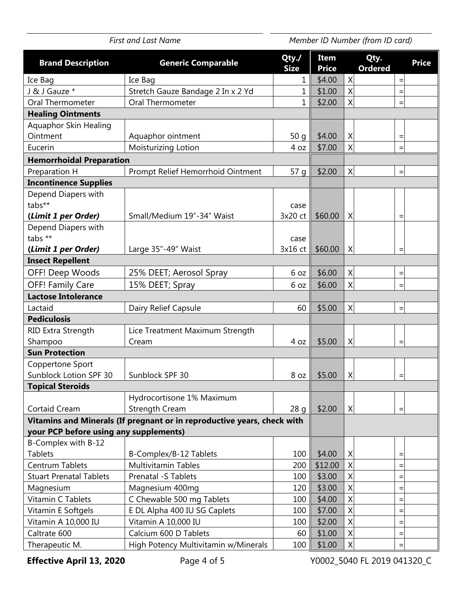First and Last Name **Member ID Number (from ID card)** *First and Last Name* **Brand Description Generic Comparable Qty./ Size Item Price Qty. Ordered Price**  Ice Bag | Ice Bag | 1 || \$4.00 | X| | =| J & J Gauze \* Stretch Gauze Bandage 2 In x 2 Yd  $\begin{bmatrix} 1 & 1 & 1 & 1 & 1 \end{bmatrix}$  \$1.00  $\begin{bmatrix} 1 & 1 & 1 & 1 \end{bmatrix}$ Oral Thermometer  $\vert$  Oral Thermometer  $\vert$  1  $\vert$  \$2.00  $\vert$  X  $\vert$  = **Healing Ointments**  Aquaphor Skin Healing Ointment Aquaphor ointment 50 g \$4.00 X = Eucerin Moisturizing Lotion  $\begin{vmatrix} 1 & 4 & 0 \\ 0 & -1 & 0 \\ 0 & 0 & 0 \end{vmatrix}$   $\begin{vmatrix} 2 & 4 & 5 \\ 0 & 1 & 0 \\ 0 & 0 & 0 \end{vmatrix}$   $\begin{vmatrix} 2 & 4 & 5 \\ 0 & 0 & 0 \\ 0 & 0 & 0 \end{vmatrix}$   $\begin{vmatrix} 2 & 4 & 6 \\ 0 & 0 & 0 \\ 0 & 0 & 0 \end{vmatrix}$ **Hemorrhoidal Preparation**  Preparation H Prompt Relief Hemorrhoid Ointment  $\begin{vmatrix} 57 & g & s2.00 & X \end{vmatrix}$  = **Incontinence Supplies**  Depend Diapers with tabs\*\* **(***Limit 1 per Order)* Small/Medium 19"-34" Waist case  $3x20 \text{ ct}$  \$60.00 | X | = Depend Diapers with tabs \*\* **(***Limit 1 per Order)* Large 35"-49" Waist case  $3x16$  ct  $\frac{1}{2}$  \$60.00 X **Insect Repellent**  OFF! Deep Woods  $\begin{vmatrix} 25\% \end{vmatrix}$  DEET; Aerosol Spray  $\begin{vmatrix} 6 & 0z \end{vmatrix}$  \$6.00  $\begin{vmatrix} x \end{vmatrix}$  = OFF! Family Care  $\begin{vmatrix} 15\% & \text{DEET} \\ \text{Spray} & \text{Sov} \end{vmatrix}$  6 oz  $\begin{vmatrix} 1\% & \text{Sov} \\ \text{Sov} & \text{Sov} \end{vmatrix}$   $\begin{vmatrix} 1\% & \text{Sov} \\ \text{Sov} & \text{Sov} \end{vmatrix}$ **Lactose Intolerance**  Lactaid  $\vert$  Dairy Relief Capsule  $\vert$  60  $\vert$  \$5.00  $\vert$  X  $\vert$  = **Pediculosis**  RID Extra Strength Shampoo Lice Treatment Maximum Strength  $\begin{array}{|c|c|c|c|c|c|c|c|c|} \hline \text{Cream} & & & | & 4 \text{ oz} & $5.00 & \text{X} & & | & = \end{array}$ **Sun Protection**  Coppertone Sport Sunblock Lotion SPF 30  $\vert$  Sunblock SPF 30  $\vert$  8 oz  $\vert$  \$5.00  $\vert$  X **Topical Steroids**  Cortaid Cream Hydrocortisone 1% Maximum Strength Cream  $28 \text{ q} \parallel $2.00 \mid X$  = **Vitamins and Minerals (If pregnant or in reproductive years, check with your PCP before using any supplements)**  B-Complex with B-12 Tablets B-Complex/B-12 Tablets 100 \$4.00 X = Centrum Tablets Multivitamin Tables  $\vert$  200  $\vert$  \$12.00  $\vert$  X = Stuart Prenatal Tablets  $\begin{vmatrix}$  Prenatal -S Tablets  $\end{vmatrix}$  100  $\begin{vmatrix}$  \$3.00  $\end{vmatrix}$  X = Magnesium  $\vert$  Magnesium 400mg  $\vert$  120  $\vert$  \$3.00  $\vert$  X  $\vert$  = Vitamin C Tablets C Chewable 500 mg Tablets 100 \$4.00 X = Vitamin E Softgels  $\begin{vmatrix} 1 & 0 & 0 \\ 0 & \frac{1}{2} & \frac{1}{2} \\ 0 & \frac{1}{2} & \frac{1}{2} \end{vmatrix}$  = Vitamin A 10,000 IU | Vitamin A 10,000 IU | 100 | 100 | \$2,00 | X | | = Caltrate 600 Calcium 600 D Tablets  $\begin{vmatrix} 60 & 100 & 100 \\ 0 & 60 & 100 \end{vmatrix}$  60  $\begin{vmatrix} 1 & 100 & 100 \\ 0 & 1 & 100 \end{vmatrix}$  = Therapeutic M.  $\vert$  High Potency Multivitamin w/Minerals  $\vert$  100  $\vert$  \$1.00  $\vert$  X  $\vert$  =

 $\overline{a}$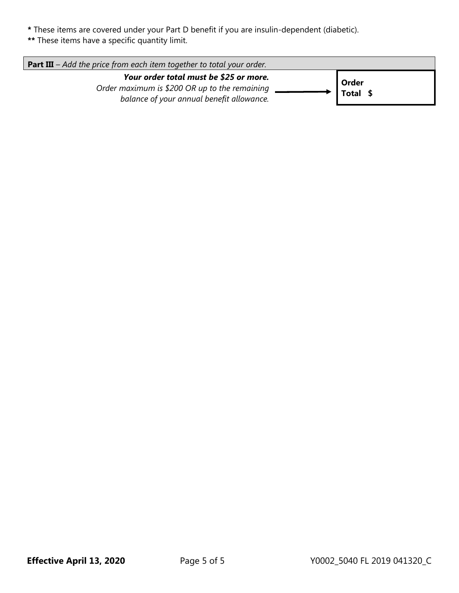- **\*** These items are covered under your Part D benefit if you are insulin-dependent (diabetic).
- **\*\*** These items have a specific quantity limit.

| <b>Part III</b> – Add the price from each item together to total your order.                                                         |                   |  |  |  |
|--------------------------------------------------------------------------------------------------------------------------------------|-------------------|--|--|--|
| Your order total must be \$25 or more.<br>Order maximum is \$200 OR up to the remaining<br>balance of your annual benefit allowance. | Order<br>Total \$ |  |  |  |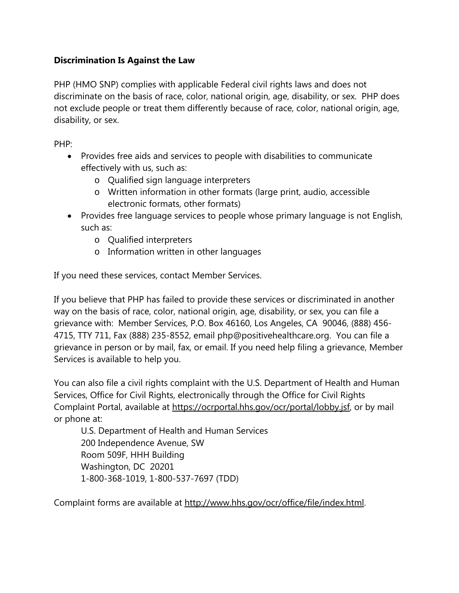## **Discrimination Is Against the Law**

PHP (HMO SNP) complies with applicable Federal civil rights laws and does not discriminate on the basis of race, color, national origin, age, disability, or sex. PHP does not exclude people or treat them differently because of race, color, national origin, age, disability, or sex.

PHP:

- Provides free aids and services to people with disabilities to communicate effectively with us, such as:
	- o Qualified sign language interpreters
	- o Written information in other formats (large print, audio, accessible electronic formats, other formats)
- Provides free language services to people whose primary language is not English, such as:
	- o Qualified interpreters
	- o Information written in other languages

If you need these services, contact Member Services.

If you believe that PHP has failed to provide these services or discriminated in another way on the basis of race, color, national origin, age, disability, or sex, you can file a grievance with: Member Services, P.O. Box 46160, Los Angeles, CA 90046, (888) 456- 4715, TTY 711, Fax (888) 235-8552, email php@positivehealthcare.org. You can file a grievance in person or by mail, fax, or email. If you need help filing a grievance, Member Services is available to help you.

You can also file a civil rights complaint with the U.S. Department of Health and Human Services, Office for Civil Rights, electronically through the Office for Civil Rights Complaint Portal, available at https://ocrportal.hhs.gov/ocr/portal/lobby.jsf, or by mail or phone at:

U.S. Department of Health and Human Services 200 Independence Avenue, SW Room 509F, HHH Building Washington, DC 20201 1-800-368-1019, 1-800-537-7697 (TDD)

Complaint forms are available at http://www.hhs.gov/ocr/office/file/index.html.